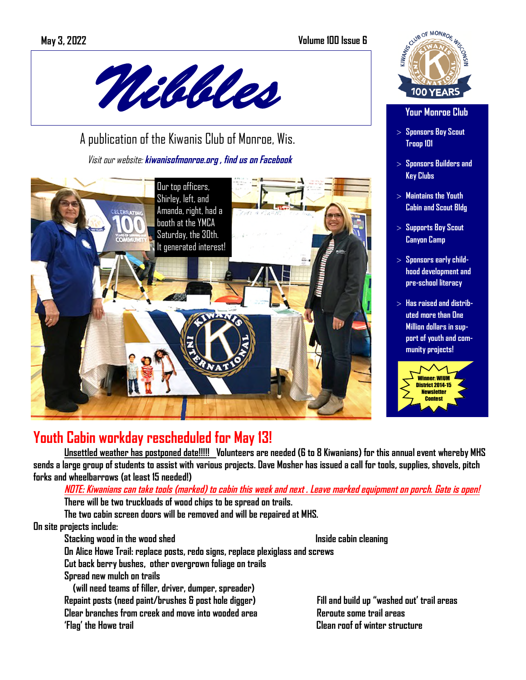## **May 3, 2022 Volume 100 Issue 6**



 A publication of the Kiwanis Club of Monroe, Wis. Visit our website: **kiwanisofmonroe.org , find us on Facebook** 



## SCUIB OF MONROE WA **100 YEAR**

#### **Your Monroe Club**

- > **Sponsors Boy Scout Troop 101**
- > **Sponsors Builders and Key Clubs**
- > **Maintains the Youth Cabin and Scout Bldg**
- > **Supports Boy Scout Canyon Camp**
- > **Sponsors early childhood development and pre-school literacy**
- > **Has raised and distributed more than One Million dollars in support of youth and community projects!**



## **Youth Cabin workday rescheduled for May 13!**

**Unsettled weather has postponed date!!!!! Volunteers are needed (6 to 8 Kiwanians) for this annual event whereby MHS sends a large group of students to assist with various projects. Dave Mosher has issued a call for tools, supplies, shovels, pitch forks and wheelbarrows (at least 15 needed!)** 

### **NOTE: Kiwanians can take tools (marked) to cabin this week and next . Leave marked equipment on porch. Gate is open! There will be two truckloads of wood chips to be spread on trails.**

**The two cabin screen doors will be removed and will be repaired at MHS.** 

### **On site projects include:**

#### **Stacking wood in the wood shed Inside cabin cleaning inside cabin cleaning**

**On Alice Howe Trail: replace posts, redo signs, replace plexiglass and screws** 

**Cut back berry bushes, other overgrown foliage on trails** 

**Spread new mulch on trails** 

 **(will need teams of filler, driver, dumper, spreader) Repaint posts (need paint/brushes & post hole digger) Fill and build up "washed out' trail areas Clear branches from creek and move into wooded area Reroute some trail areas 'Flag' the Howe trail Clean roof of winter structure**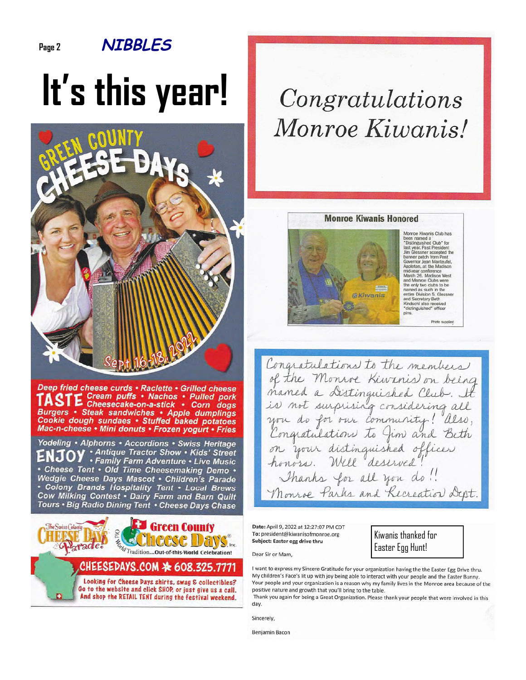## **NIBBLES**

Page 2

# It's this year!



Deep fried cheese curds · Raclette · Grilled cheese Cream puffs . Nachos . Pulled pork E Cheesecake-on-a-stick . Corn dogs Burgers • Steak sandwiches • Apple dumplings<br>Cookie dough sundaes • Stuffed baked potatoes Mac-n-cheese . Mini donuts . Frozen yogurt . Fries

Yodeling . Alphorns . Accordions . Swiss Heritage . Antique Tractor Show . Kids' Street<br>• Family Farm Adventure . Live Music · Cheese Tent · Old Time Cheesemaking Demo · Wedgie Cheese Days Mascot . Children's Parade • Colony Brands Hospitality Tent • Local Brews<br>Cow Milking Contest • Dairy Farm and Barn Quilt Tours . Big Radio Dining Tent . Cheese Days Chase



## Congratulations Monroe Kiwanis!

#### **Monroe Kiwanis Honored**



Monroe Kiwanis Club has<br>been named a<br>"Distinguished Club" for<br>last year. Past President<br>Jim Glessner accepted the<br>banner patch from Past<br>content clon Mantaudel Governor Jean Manteufel, Appleton, at the Madison mid-year conference<br>March 26. Madison West March 26: Madison West<br>and Monroe Clubs were<br>the only two clubs to be<br>named as such in the<br>entire Division 5. Glessner<br>and Secretary Beth<br>Kindschi also received<br>"distinguished" folfter<br>riss

Congratulations to the members of the Monroe Kiwanis on being mamed a Distinguished Club. It is not surprising considering all you do for our community! also, Congratulations to Jim and Beth on your distinguished officer Thanks for all you do !! Monroe Parks and Recreation Dept.

Date: April 9, 2022 at 12:27:07 PM CDT To: president@kiwanisofmonroe.org Subject: Easter egg drive thru

Dear Sir or Mam.

Kiwanis thanked for Easter Egg Hunt!

I want to express my Sincere Gratitude for your organization having the the Easter Egg Drive thru. My children's Face's lit up with joy being able to interact with your people and the Easter Bunny. Your people and your organization is a reason why my family lives in the Monroe area because of the positive nature and growth that you'll bring to the table.

Thank you again for being a Great Organization. Please thank your people that were involved in this day.

Sincerely.

**Benjamin Bacon**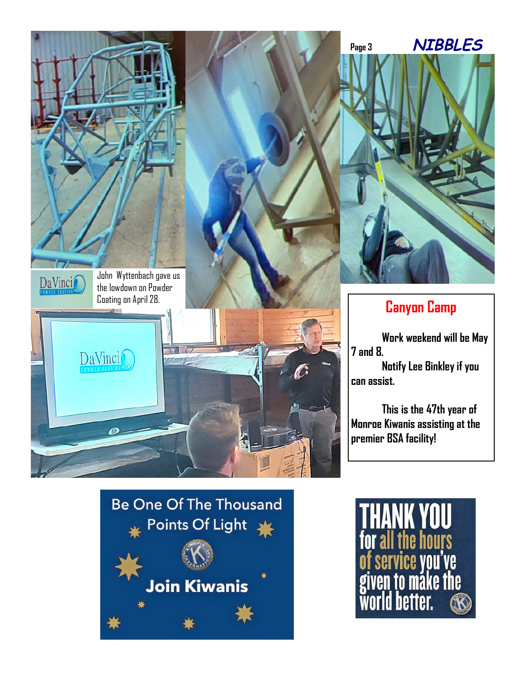



## **Canyon Camp**

**Work weekend will be May 7 and 8. Notify Lee Binkley if you can assist.** 

**This is the 47th year of Monroe Kiwanis assisting at the premier BSA facility!** 

## **Be One Of The Thousand** Points Of Light Join Kiwanis

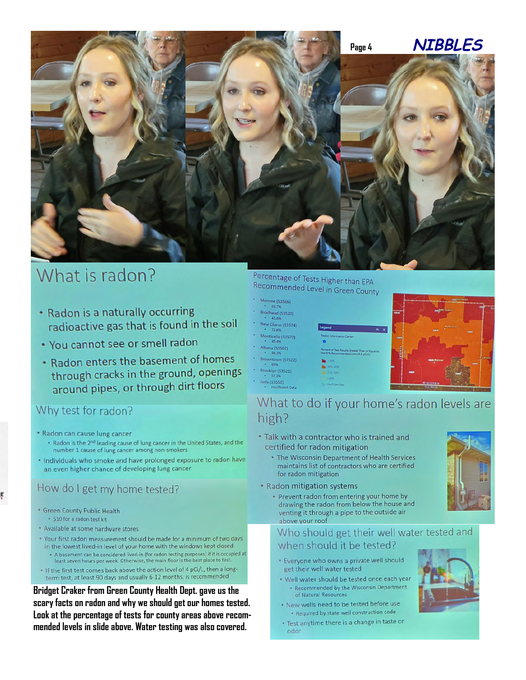

## What is radon?

- Radon is a naturally occurring radioactive gas that is found in the soil
- . You cannot see or smell radon
- . Radon enters the basement of homes through cracks in the ground, openings around pipes, or through dirt floors

## Why test for radon?

- \* Radon can cause lung cancer
	- . Radon is the 2<sup>nd</sup> leading cause of lung cancer in the United States, and the number 1 cause of lung cancer among non-smokers
- . Individuals who smoke and have prolonged exposure to radon have an even higher chance of developing lung cancer

## How do I get my home tested?

- · Green County Public Health
- · \$10 for a radon test kit
- Available at some hardware stores
- \* Your first radon measurement should be made for a minimum of two days in the lowest lived-in level of your home with the windows kept closed
- . A basement can be considered lived-in (for radon testing purposes) if it is occupied at least seven hours per week. Otherwise, the main floor is the best place to test. . If the first test comes back above the action level of 4 pCi/L, then a long-
- term test, at least 90 days and usually 6-12 months, is recommended

Bridget Craker from Green County Health Dept. gave us the scary facts on radon and why we should get our homes tested. Look at the percentage of tests for county areas above recommended levels in slide above. Water testing was also covered.

## Percentage of Tests Higher than EPA Recommended Level in Green County

- Monroe (53566)<br>+ 63.7%
- Brodhead (53520) 43.6%
- lew Glarus (53574) 72.69
- Monticello (53570)<br>+ 45.4%
- Albany (53502)<br>- 46.1%
- 
- Browntown (53522)<br>- 85%
- Brooklyn (53521)<br>57.1% Juda (53550)
- 



## What to do if your home's radon levels are high?

- . Talk with a contractor who is trained and certified for radon mitigation
	- The Wisconsin Department of Health Services maintains list of contractors who are certified for radon mitigation
- Radon mitigation systems
	- · Prevent radon from entering your home by drawing the radon from below the house and venting it through a pipe to the outside air above your roof

#### Who should get their well water tested and when should it be tested?

- \* Everyone who owns a private well should get their well water tested
- . Well water should be tested once each year - Recommended by the Wisconsin Department of Natural Resources
- . New wells need to be tested before use · Required by state well construction code
- . Test anytime there is a change in taste or odor

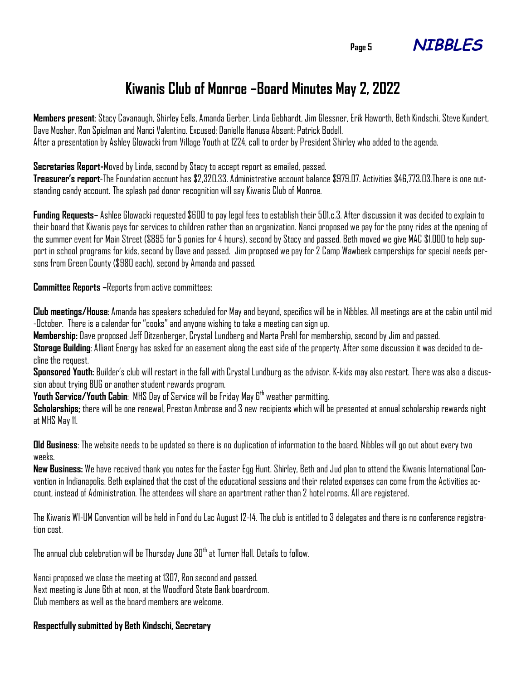

## **Kiwanis Club of Monroe –Board Minutes May 2, 2022**

**Members present**: Stacy Cavanaugh, Shirley Eells, Amanda Gerber, Linda Gebhardt, Jim Glessner, Erik Haworth, Beth Kindschi, Steve Kundert, Dave Mosher, Ron Spielman and Nanci Valentino. Excused: Danielle Hanusa Absent: Patrick Bodell. After a presentation by Ashley Glowacki from Village Youth at 1224, call to order by President Shirley who added to the agenda.

**Secretaries Report-**Moved by Linda, second by Stacy to accept report as emailed, passed.

**Treasurer's report**-The Foundation account has \$2,320.33. Administrative account balance \$979.07. Activities \$46,773.03.There is one outstanding candy account. The splash pad donor recognition will say Kiwanis Club of Monroe.

**Funding Requests**– Ashlee Glowacki requested \$600 to pay legal fees to establish their 501.c.3. After discussion it was decided to explain to their board that Kiwanis pays for services to children rather than an organization. Nanci proposed we pay for the pony rides at the opening of the summer event for Main Street (\$895 for 5 ponies for 4 hours), second by Stacy and passed. Beth moved we give MAC \$1,000 to help support in school programs for kids, second by Dave and passed. Jim proposed we pay for 2 Camp Wawbeek camperships for special needs persons from Green County (\$980 each), second by Amanda and passed.

**Committee Reports –**Reports from active committees:

**Club meetings/House**: Amanda has speakers scheduled for May and beyond, specifics will be in Nibbles. All meetings are at the cabin until mid -October. There is a calendar for "cooks" and anyone wishing to take a meeting can sign up.

**Membership:** Dave proposed Jeff Ditzenberger, Crystal Lundberg and Marta Prahl for membership, second by Jim and passed.

**Storage Building**: Alliant Energy has asked for an easement along the east side of the property. After some discussion it was decided to decline the request.

**Sponsored Youth:** Builder's club will restart in the fall with Crystal Lundburg as the advisor. K-kids may also restart. There was also a discussion about trying BUG or another student rewards program.

**Youth Service/Youth Cabin**: MHS Day of Service will be Friday May 6th weather permitting.

**Scholarships;** there will be one renewal, Preston Ambrose and 3 new recipients which will be presented at annual scholarship rewards night at MHS May 11.

**Old Business**: The website needs to be updated so there is no duplication of information to the board. Nibbles will go out about every two weeks.

**New Business:** We have received thank you notes for the Easter Egg Hunt. Shirley, Beth and Jud plan to attend the Kiwanis International Convention in Indianapolis. Beth explained that the cost of the educational sessions and their related expenses can come from the Activities account, instead of Administration. The attendees will share an apartment rather than 2 hotel rooms. All are registered.

The Kiwanis WI-UM Convention will be held in Fond du Lac August 12-14. The club is entitled to 3 delegates and there is no conference registration cost.

The annual club celebration will be Thursday June  $30^{\mathrm{th}}$  at Turner Hall. Details to follow.

Nanci proposed we close the meeting at 1307, Ron second and passed. Next meeting is June 6th at noon, at the Woodford State Bank boardroom. Club members as well as the board members are welcome.

### **Respectfully submitted by Beth Kindschi, Secretary**